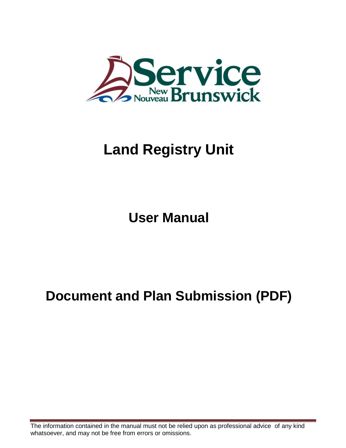

# **Land Registry Unit**

**User Manual**

## **Document and Plan Submission (PDF)**

The information contained in the manual must not be relied upon as professional advice of any kind whatsoever, and may not be free from errors or omissions.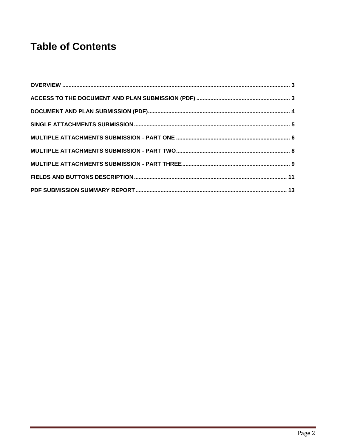## **Table of Contents**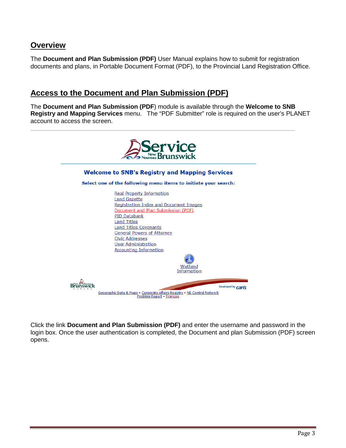### <span id="page-2-0"></span>**Overview**

The **Document and Plan Submission (PDF)** User Manual explains how to submit for registration documents and plans, in Portable Document Format (PDF), to the Provincial Land Registration Office.

## <span id="page-2-1"></span>**Access to the Document and Plan Submission (PDF)**

The **Document and Plan Submission (PDF**) module is available through the **Welcome to SNB Registry and Mapping Services** menu. The "PDF Submitter" role is required on the user's PLANET account to access the screen.



Click the link **Document and Plan Submission (PDF)** and enter the username and password in the login box. Once the user authentication is completed, the Document and plan Submission (PDF) screen opens.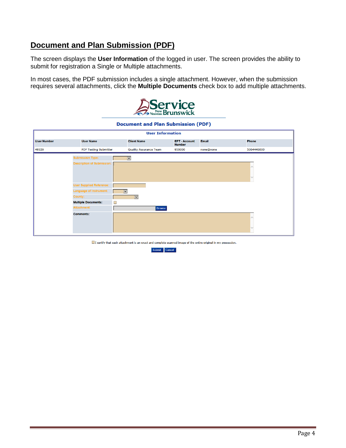## <span id="page-3-0"></span>**Document and Plan Submission (PDF)**

The screen displays the **User Information** of the logged in user. The screen provides the ability to submit for registration a Single or Multiple attachments.

In most cases, the PDF submission includes a single attachment. However, when the submission requires several attachments, click the **Multiple Documents** check box to add multiple attachments.



#### **Document and Plan Submission (PDF)**

|                    | <b>User Information</b>                                                                                                                                                          |                                                                     |                                     |              |            |
|--------------------|----------------------------------------------------------------------------------------------------------------------------------------------------------------------------------|---------------------------------------------------------------------|-------------------------------------|--------------|------------|
| <b>User Number</b> | <b>User Name</b>                                                                                                                                                                 | <b>Client Name</b>                                                  | <b>EFT-Account</b><br><b>Number</b> | <b>Email</b> | Phone      |
| 49329              | <b>PDF Testing Submitter</b>                                                                                                                                                     | <b>Quality Assurance Team</b>                                       | 950000                              | none@none    | 5064446000 |
|                    | <b>Submission Type:</b>                                                                                                                                                          | ⊻∣                                                                  |                                     |              |            |
|                    | <b>Description of Submission:</b><br><b>User Supplied Reference:</b><br>Language of Instrument:<br>County:<br><b>Multiple Documents:</b><br>П<br>Attachment:<br><b>Comments:</b> | $\overline{\mathsf{v}}$<br>$\overline{\mathsf{v}}$<br><b>Browse</b> |                                     |              |            |
|                    |                                                                                                                                                                                  |                                                                     |                                     |              |            |

 $\Box$  I certify that each attachment is an exact and complete scanned image of the entire original in my possession.

Submit Cancel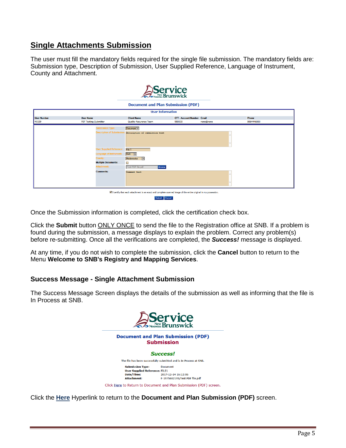## <span id="page-4-0"></span>**Single Attachments Submission**

The user must fill the mandatory fields required for the single file submission. The mandatory fields are: Submission type, Description of Submission, User Supplied Reference, Language of Instrument, County and Attachment.

|                                                                                                                 |                                   | Service                                   |                                 |           |            |
|-----------------------------------------------------------------------------------------------------------------|-----------------------------------|-------------------------------------------|---------------------------------|-----------|------------|
|                                                                                                                 |                                   | <b>Document and Plan Submission (PDF)</b> |                                 |           |            |
|                                                                                                                 |                                   | <b>User Information</b>                   |                                 |           |            |
| <b>User Number</b>                                                                                              | <b>User Name</b>                  | <b>Client Name</b>                        | <b>EFT-Account Number Email</b> |           | Phone      |
| 49329                                                                                                           | <b>PDF Testing Submitter</b>      | <b>Quality Assurance Team</b>             | 950000                          | none@none | 5064446000 |
|                                                                                                                 | <b>Submission Type:</b>           | Document V                                |                                 |           |            |
|                                                                                                                 | <b>Description of Submission:</b> | Description of submission text            |                                 |           |            |
|                                                                                                                 |                                   |                                           |                                 |           |            |
|                                                                                                                 |                                   |                                           |                                 |           |            |
|                                                                                                                 | <b>User Supplied Reference:</b>   | File 1                                    |                                 |           |            |
|                                                                                                                 | <b>Language of Instrument:</b>    | Both V                                    |                                 |           |            |
|                                                                                                                 | County:                           | Madawaska<br>ाज                           |                                 |           |            |
|                                                                                                                 | <b>Multiple Documents:</b>        | ш                                         |                                 |           |            |
|                                                                                                                 | Attachment:                       | <b>Test PDF file.pdf</b><br><b>Browse</b> |                                 |           |            |
|                                                                                                                 | <b>Comments:</b>                  | Comment text                              |                                 |           |            |
|                                                                                                                 |                                   |                                           |                                 |           |            |
|                                                                                                                 |                                   |                                           |                                 |           |            |
|                                                                                                                 |                                   |                                           |                                 |           |            |
| EI certify that each attachment is an exact and complete scanned image of the entire original in my possession. |                                   |                                           |                                 |           |            |
| Submit Cancel                                                                                                   |                                   |                                           |                                 |           |            |

Once the Submission information is completed, click the certification check box.

Click the **Submit** button ONLY ONCE to send the file to the Registration office at SNB. If a problem is found during the submission, a message displays to explain the problem. Correct any problem(s) before re-submitting. Once all the verifications are completed, the *Success!* message is displayed.

At any time, if you do not wish to complete the submission, click the **Cancel** button to return to the Menu **Welcome to SNB's Registry and Mapping Services**.

#### **Success Message - Single Attachment Submission**

The Success Message Screen displays the details of the submission as well as informing that the file is In Process at SNB.



Click the **Here** Hyperlink to return to the **Document and Plan Submission (PDF)** screen.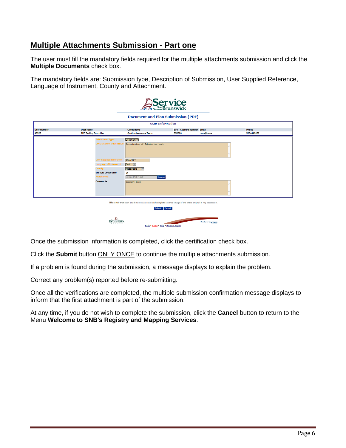## <span id="page-5-0"></span>**Multiple Attachments Submission - Part one**

The user must fill the mandatory fields required for the multiple attachments submission and click the **Multiple Documents** check box.

The mandatory fields are: Submission type, Description of Submission, User Supplied Reference, Language of Instrument, County and Attachment.

|                    |                              |                                 |                                                           | <b>Service</b>                                                                                                    |                    |            |
|--------------------|------------------------------|---------------------------------|-----------------------------------------------------------|-------------------------------------------------------------------------------------------------------------------|--------------------|------------|
|                    |                              |                                 |                                                           | <b>Document and Plan Submission (PDF)</b>                                                                         |                    |            |
|                    |                              |                                 |                                                           | <b>User Information</b>                                                                                           |                    |            |
| <b>User Number</b> | <b>User Name</b>             |                                 | <b>Client Name</b>                                        | <b>EFT-Account Number Email</b>                                                                                   |                    | Phone      |
| 49329              | <b>PDF Testing Submitter</b> |                                 | <b>Quality Assurance Team</b>                             | 950000                                                                                                            | none@none          | 5064446000 |
|                    |                              | <b>Submission Type:</b>         | Document V                                                |                                                                                                                   |                    |            |
|                    |                              |                                 | Description of Submission: Description of Submission text |                                                                                                                   |                    |            |
|                    |                              |                                 |                                                           |                                                                                                                   |                    |            |
|                    |                              |                                 |                                                           |                                                                                                                   |                    |            |
|                    |                              |                                 |                                                           |                                                                                                                   |                    |            |
|                    |                              | <b>User Supplied Reference:</b> | ASubPDF3                                                  |                                                                                                                   |                    |            |
|                    |                              | Language of Instrument:         | Both $ \nabla $                                           |                                                                                                                   |                    |            |
|                    |                              | County:                         | Madawaska<br>$\overline{\nabla}$                          |                                                                                                                   |                    |            |
|                    |                              | <b>Multiple Documents:</b>      | $\blacktriangledown$                                      |                                                                                                                   |                    |            |
|                    |                              | Attachment:                     | A-Doc PDF-1.pdf                                           | <b>Browse</b>                                                                                                     |                    |            |
|                    |                              | <b>Comments:</b>                | Comment text                                              |                                                                                                                   |                    |            |
|                    |                              |                                 |                                                           |                                                                                                                   |                    |            |
|                    |                              |                                 |                                                           |                                                                                                                   |                    |            |
|                    |                              |                                 |                                                           |                                                                                                                   |                    |            |
|                    |                              |                                 |                                                           |                                                                                                                   |                    |            |
|                    |                              |                                 |                                                           | El I certify that each attachment is an exact and complete scanned image of the entire original in my possession. |                    |            |
| Submit Cancel      |                              |                                 |                                                           |                                                                                                                   |                    |            |
|                    |                              |                                 |                                                           |                                                                                                                   |                    |            |
|                    |                              |                                 |                                                           |                                                                                                                   |                    |            |
|                    |                              |                                 |                                                           | Back . Home . Help . Problem Report                                                                               | Developed by Caris |            |

Once the submission information is completed, click the certification check box.

Click the **Submit** button ONLY ONCE to continue the multiple attachments submission.

If a problem is found during the submission, a message displays to explain the problem.

Correct any problem(s) reported before re-submitting.

Once all the verifications are completed, the multiple submission confirmation message displays to inform that the first attachment is part of the submission.

At any time, if you do not wish to complete the submission, click the **Cancel** button to return to the Menu **Welcome to SNB's Registry and Mapping Services**.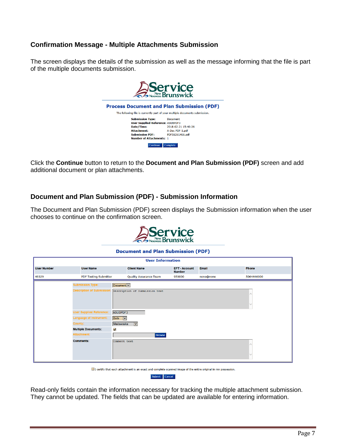#### **Confirmation Message - Multiple Attachments Submission**

The screen displays the details of the submission as well as the message informing that the file is part of the multiple documents submission.



Click the **Continue** button to return to the **Document and Plan Submission (PDF)** screen and add additional document or plan attachments.

#### **Document and Plan Submission (PDF) - Submission Information**

The Document and Plan Submission (PDF) screen displays the Submission information when the user chooses to continue on the confirmation screen.



#### **Document and Plan Submission (PDF)**

| <b>User Name</b>                  | <b>Client Name</b>            | <b>EFT-Account</b><br><b>Number</b>                                                                                                | <b>Email</b>            | Phone      |  |
|-----------------------------------|-------------------------------|------------------------------------------------------------------------------------------------------------------------------------|-------------------------|------------|--|
| <b>PDF Testing Submitter</b>      | <b>Quality Assurance Team</b> | 950000                                                                                                                             | none@none               | 5064446000 |  |
| <b>Submission Type:</b>           |                               |                                                                                                                                    |                         |            |  |
| <b>Description of Submission:</b> |                               |                                                                                                                                    |                         |            |  |
|                                   |                               |                                                                                                                                    |                         |            |  |
| <b>User Supplied Reference:</b>   |                               |                                                                                                                                    |                         |            |  |
| Language of Instrument:           |                               |                                                                                                                                    |                         |            |  |
| County:                           | $\vert \mathbf{v} \vert$      |                                                                                                                                    |                         |            |  |
|                                   |                               |                                                                                                                                    |                         |            |  |
| <b>Attachment:</b>                | <b>Browse</b>                 |                                                                                                                                    |                         |            |  |
| <b>Comments:</b>                  |                               |                                                                                                                                    |                         |            |  |
|                                   | <b>Multiple Documents:</b>    | Document <sup>V</sup><br>Description of Submission text<br>ASUBPDF3<br>Both V<br>Madawaska<br>$\blacktriangledown$<br>Comment text | <b>User Information</b> |            |  |

I certify that each attachment is an exact and complete scanned image of the entire original in my possession. Submit Cancel

Read-only fields contain the information necessary for tracking the multiple attachment submission. They cannot be updated. The fields that can be updated are available for entering information.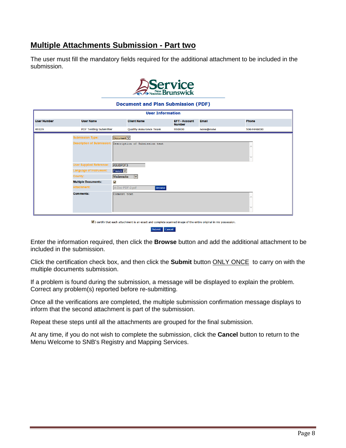## <span id="page-7-0"></span>**Multiple Attachments Submission - Part two**

The user must fill the mandatory fields required for the additional attachment to be included in the submission.



#### **Document and Plan Submission (PDF)**

|                    |                                            | <b>User Information</b>                                                                                          |                                     |              |              |
|--------------------|--------------------------------------------|------------------------------------------------------------------------------------------------------------------|-------------------------------------|--------------|--------------|
| <b>User Number</b> | <b>User Name</b>                           | <b>Client Name</b>                                                                                               | <b>EFT-Account</b><br><b>Number</b> | <b>Email</b> | <b>Phone</b> |
| 49329              | <b>PDF Testing Submitter</b>               | <b>Quality Assurance Team</b>                                                                                    | 950000                              | none@none    | 5064446000   |
|                    | <b>Submission Type:</b>                    | Document V                                                                                                       |                                     |              |              |
|                    | <b>Description of Submission:</b>          | Description of Submission text                                                                                   |                                     |              |              |
|                    |                                            |                                                                                                                  |                                     |              |              |
|                    |                                            |                                                                                                                  |                                     |              |              |
|                    | <b>User Supplied Reference:</b>            | ASUBPDF3                                                                                                         |                                     |              |              |
|                    | Language of Instrument:                    | French V                                                                                                         |                                     |              |              |
|                    | County:                                    | Madawaska<br>$\overline{\mathsf{v}}$                                                                             |                                     |              |              |
|                    | <b>Multiple Documents:</b><br>$\checkmark$ |                                                                                                                  |                                     |              |              |
|                    | Attachment:                                | A-Doc PDF-2.pdf<br><b>Browse</b>                                                                                 |                                     |              |              |
|                    | <b>Comments:</b>                           | Comment text                                                                                                     |                                     |              |              |
|                    |                                            |                                                                                                                  |                                     |              |              |
|                    |                                            |                                                                                                                  |                                     |              | $\checkmark$ |
|                    |                                            |                                                                                                                  |                                     |              |              |
|                    |                                            | ⊠ I certify that each attachment is an exact and complete scanned image of the entire original in my possession. |                                     |              |              |

Submit Cancel

Enter the information required, then click the **Browse** button and add the additional attachment to be included in the submission.

Click the certification check box, and then click the **Submit** button ONLY ONCE to carry on with the multiple documents submission.

If a problem is found during the submission, a message will be displayed to explain the problem. Correct any problem(s) reported before re-submitting.

Once all the verifications are completed, the multiple submission confirmation message displays to inform that the second attachment is part of the submission.

Repeat these steps until all the attachments are grouped for the final submission.

At any time, if you do not wish to complete the submission, click the **Cancel** button to return to the Menu Welcome to SNB's Registry and Mapping Services.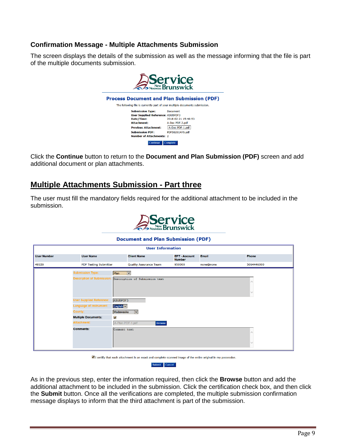#### **Confirmation Message - Multiple Attachments Submission**

The screen displays the details of the submission as well as the message informing that the file is part of the multiple documents submission.



Click the **Continue** button to return to the **Document and Plan Submission (PDF)** screen and add additional document or plan attachments.

### <span id="page-8-0"></span>**Multiple Attachments Submission - Part three**

The user must fill the mandatory fields required for the additional attachment to be included in the submission.



#### **Document and Plan Submission (PDF)**

|                    | <b>User Information</b>                                                                             |                                                                              |                                     |              |            |  |
|--------------------|-----------------------------------------------------------------------------------------------------|------------------------------------------------------------------------------|-------------------------------------|--------------|------------|--|
| <b>User Number</b> | <b>User Name</b>                                                                                    | <b>Client Name</b>                                                           | <b>EFT-Account</b><br><b>Number</b> | <b>Email</b> | Phone      |  |
| 49329              | <b>PDF Testing Submitter</b>                                                                        | <b>Quality Assurance Team</b>                                                | 950000                              | none@none    | 5064446000 |  |
|                    | <b>Submission Type:</b><br><b>Description of Submission:</b>                                        | Plan<br>$\overline{\mathsf{v}}$<br>Description of Submission text            |                                     |              |            |  |
|                    | <b>User Supplied Reference:</b><br>Language of Instrument:<br>County:<br><b>Multiple Documents:</b> | ASUBPDF3<br>English V<br>Madawaska<br>$ \mathsf{v} $<br>$\blacktriangledown$ |                                     |              |            |  |
|                    | Attachment:<br><b>Comments:</b>                                                                     | A-Plan PDF-1.pdf<br><b>Browse</b><br>Comment text                            |                                     |              |            |  |

I certify that each attachment is an exact and complete scanned image of the entire original in my possession.

Submit Cancel

As in the previous step, enter the information required, then click the **Browse** button and add the additional attachment to be included in the submission. Click the certification check box, and then click the **Submit** button. Once all the verifications are completed, the multiple submission confirmation message displays to inform that the third attachment is part of the submission.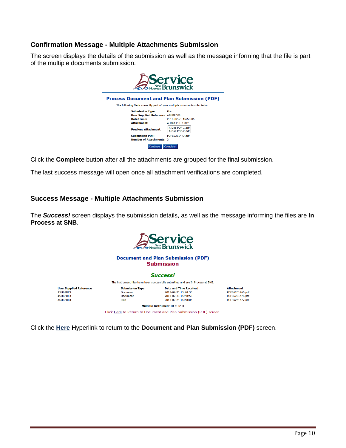#### **Confirmation Message - Multiple Attachments Submission**

The screen displays the details of the submission as well as the message informing that the file is part of the multiple documents submission.



Click the **Complete** button after all the attachments are grouped for the final submission.

The last success message will open once all attachment verifications are completed.

#### **Success Message - Multiple Attachments Submission**

The *Success!* screen displays the submission details, as well as the message informing the files are **In Process at SNB**.



Click the **Here** Hyperlink to return to the **Document and Plan Submission (PDF)** screen.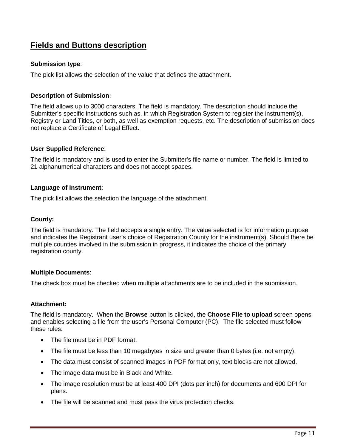## <span id="page-10-0"></span>**Fields and Buttons description**

#### **Submission type**:

The pick list allows the selection of the value that defines the attachment.

#### **Description of Submission**:

The field allows up to 3000 characters. The field is mandatory. The description should include the Submitter's specific instructions such as, in which Registration System to register the instrument(s), Registry or Land Titles, or both, as well as exemption requests, etc. The description of submission does not replace a Certificate of Legal Effect.

#### **User Supplied Reference**:

The field is mandatory and is used to enter the Submitter's file name or number. The field is limited to 21 alphanumerical characters and does not accept spaces.

#### **Language of Instrument**:

The pick list allows the selection the language of the attachment.

#### **County:**

The field is mandatory. The field accepts a single entry. The value selected is for information purpose and indicates the Registrant user's choice of Registration County for the instrument(s). Should there be multiple counties involved in the submission in progress, it indicates the choice of the primary registration county.

#### **Multiple Documents**:

The check box must be checked when multiple attachments are to be included in the submission.

#### **Attachment:**

The field is mandatory. When the **Browse** button is clicked, the **Choose File to upload** screen opens and enables selecting a file from the user's Personal Computer (PC). The file selected must follow these rules:

- The file must be in PDF format.
- The file must be less than 10 megabytes in size and greater than 0 bytes (i.e. not empty).
- The data must consist of scanned images in PDF format only, text blocks are not allowed.
- The image data must be in Black and White.
- The image resolution must be at least 400 DPI (dots per inch) for documents and 600 DPI for plans.
- The file will be scanned and must pass the virus protection checks.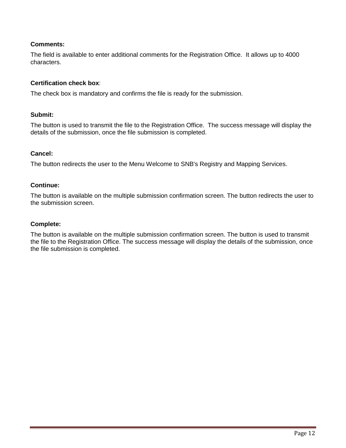#### **Comments:**

The field is available to enter additional comments for the Registration Office. It allows up to 4000 characters.

#### **Certification check box**:

The check box is mandatory and confirms the file is ready for the submission.

#### **Submit:**

The button is used to transmit the file to the Registration Office. The success message will display the details of the submission, once the file submission is completed.

#### **Cancel:**

The button redirects the user to the Menu Welcome to SNB's Registry and Mapping Services.

#### **Continue:**

The button is available on the multiple submission confirmation screen. The button redirects the user to the submission screen.

#### **Complete:**

The button is available on the multiple submission confirmation screen. The button is used to transmit the file to the Registration Office. The success message will display the details of the submission, once the file submission is completed.